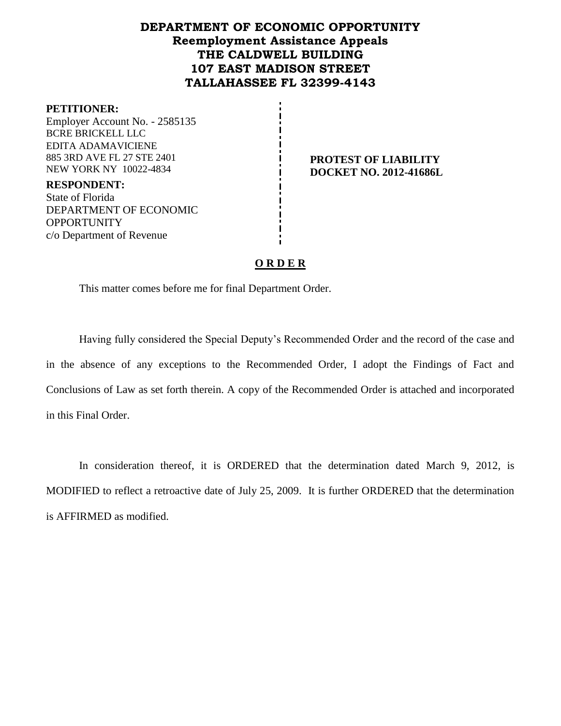# **DEPARTMENT OF ECONOMIC OPPORTUNITY Reemployment Assistance Appeals THE CALDWELL BUILDING 107 EAST MADISON STREET TALLAHASSEE FL 32399-4143**

#### **PETITIONER:**

Employer Account No. - 2585135 BCRE BRICKELL LLC EDITA ADAMAVICIENE 885 3RD AVE FL 27 STE 2401 NEW YORK NY 10022-4834

**PROTEST OF LIABILITY DOCKET NO. 2012-41686L**

**RESPONDENT:** State of Florida DEPARTMENT OF ECONOMIC **OPPORTUNITY** c/o Department of Revenue

### **O R D E R**

This matter comes before me for final Department Order.

Having fully considered the Special Deputy's Recommended Order and the record of the case and in the absence of any exceptions to the Recommended Order, I adopt the Findings of Fact and Conclusions of Law as set forth therein. A copy of the Recommended Order is attached and incorporated in this Final Order.

In consideration thereof, it is ORDERED that the determination dated March 9, 2012, is MODIFIED to reflect a retroactive date of July 25, 2009. It is further ORDERED that the determination is AFFIRMED as modified.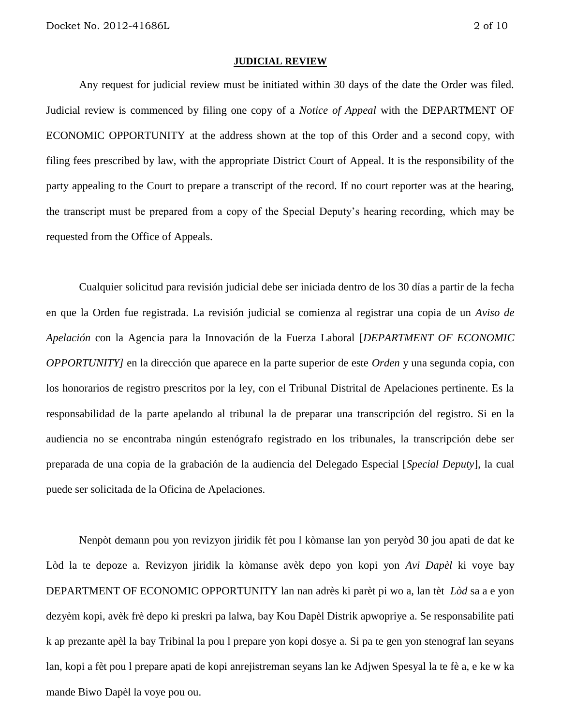#### **JUDICIAL REVIEW**

Any request for judicial review must be initiated within 30 days of the date the Order was filed. Judicial review is commenced by filing one copy of a *Notice of Appeal* with the DEPARTMENT OF ECONOMIC OPPORTUNITY at the address shown at the top of this Order and a second copy, with filing fees prescribed by law, with the appropriate District Court of Appeal. It is the responsibility of the party appealing to the Court to prepare a transcript of the record. If no court reporter was at the hearing, the transcript must be prepared from a copy of the Special Deputy's hearing recording, which may be requested from the Office of Appeals.

Cualquier solicitud para revisión judicial debe ser iniciada dentro de los 30 días a partir de la fecha en que la Orden fue registrada. La revisión judicial se comienza al registrar una copia de un *Aviso de Apelación* con la Agencia para la Innovación de la Fuerza Laboral [*DEPARTMENT OF ECONOMIC OPPORTUNITY]* en la dirección que aparece en la parte superior de este *Orden* y una segunda copia, con los honorarios de registro prescritos por la ley, con el Tribunal Distrital de Apelaciones pertinente. Es la responsabilidad de la parte apelando al tribunal la de preparar una transcripción del registro. Si en la audiencia no se encontraba ningún estenógrafo registrado en los tribunales, la transcripción debe ser preparada de una copia de la grabación de la audiencia del Delegado Especial [*Special Deputy*], la cual puede ser solicitada de la Oficina de Apelaciones.

Nenpòt demann pou yon revizyon jiridik fèt pou l kòmanse lan yon peryòd 30 jou apati de dat ke Lòd la te depoze a. Revizyon jiridik la kòmanse avèk depo yon kopi yon *Avi Dapèl* ki voye bay DEPARTMENT OF ECONOMIC OPPORTUNITY lan nan adrès ki parèt pi wo a, lan tèt *Lòd* sa a e yon dezyèm kopi, avèk frè depo ki preskri pa lalwa, bay Kou Dapèl Distrik apwopriye a. Se responsabilite pati k ap prezante apèl la bay Tribinal la pou l prepare yon kopi dosye a. Si pa te gen yon stenograf lan seyans lan, kopi a fèt pou l prepare apati de kopi anrejistreman seyans lan ke Adjwen Spesyal la te fè a, e ke w ka mande Biwo Dapèl la voye pou ou.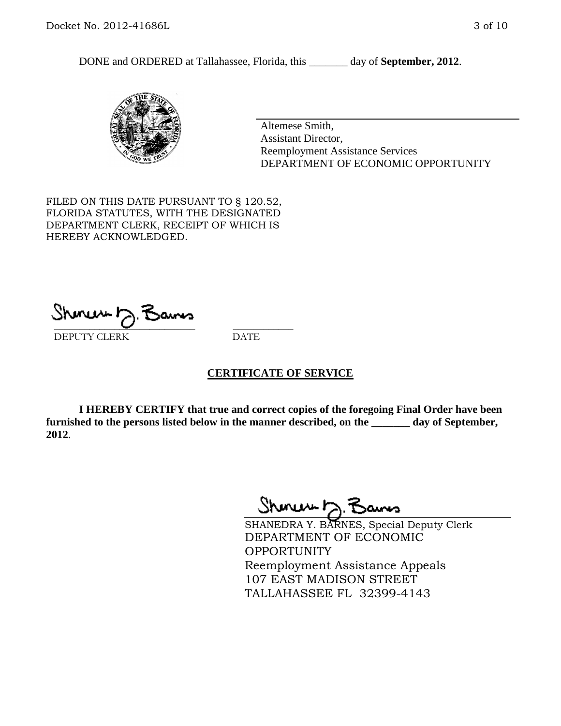DONE and ORDERED at Tallahassee, Florida, this \_\_\_\_\_\_\_ day of **September, 2012**.



Altemese Smith, Assistant Director, Reemployment Assistance Services DEPARTMENT OF ECONOMIC OPPORTUNITY

FILED ON THIS DATE PURSUANT TO § 120.52, FLORIDA STATUTES, WITH THE DESIGNATED DEPARTMENT CLERK, RECEIPT OF WHICH IS HEREBY ACKNOWLEDGED.

\_\_\_\_\_\_\_\_\_\_\_\_\_\_\_\_\_\_\_\_\_\_\_\_\_\_\_\_ \_\_\_\_\_\_\_\_\_\_\_\_ DEPUTY CLERK DATE

#### **CERTIFICATE OF SERVICE**

**I HEREBY CERTIFY that true and correct copies of the foregoing Final Order have been furnished to the persons listed below in the manner described, on the \_\_\_\_\_\_\_ day of September, 2012**.

Shonew b

SHANEDRA Y. BARNES, Special Deputy Clerk DEPARTMENT OF ECONOMIC **OPPORTUNITY** Reemployment Assistance Appeals 107 EAST MADISON STREET TALLAHASSEE FL 32399-4143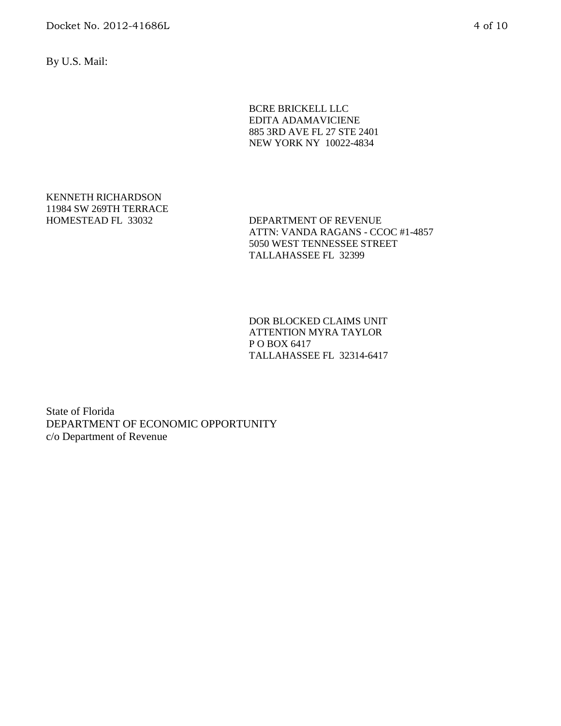By U.S. Mail:

BCRE BRICKELL LLC EDITA ADAMAVICIENE 885 3RD AVE FL 27 STE 2401 NEW YORK NY 10022-4834

KENNETH RICHARDSON 11984 SW 269TH TERRACE

HOMESTEAD FL 33032 DEPARTMENT OF REVENUE ATTN: VANDA RAGANS - CCOC #1-4857 5050 WEST TENNESSEE STREET TALLAHASSEE FL 32399

> DOR BLOCKED CLAIMS UNIT ATTENTION MYRA TAYLOR P O BOX 6417 TALLAHASSEE FL 32314-6417

State of Florida DEPARTMENT OF ECONOMIC OPPORTUNITY c/o Department of Revenue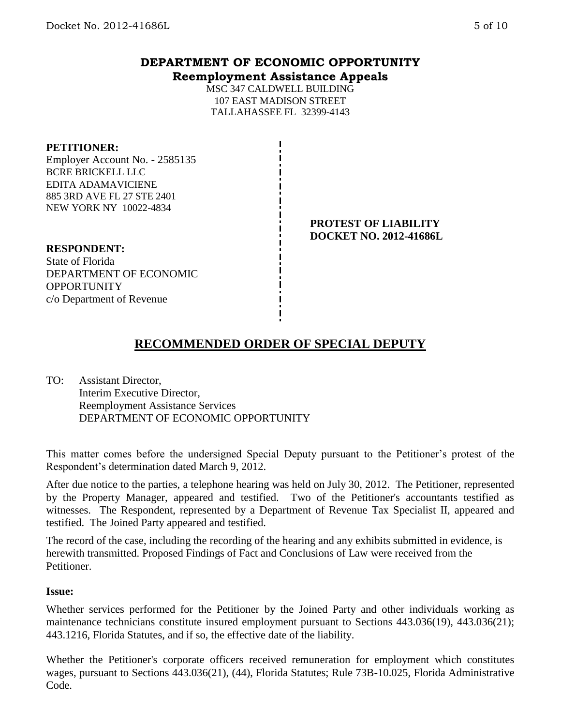## **DEPARTMENT OF ECONOMIC OPPORTUNITY Reemployment Assistance Appeals**

MSC 347 CALDWELL BUILDING 107 EAST MADISON STREET TALLAHASSEE FL 32399-4143

#### **PETITIONER:**

Employer Account No. - 2585135 BCRE BRICKELL LLC EDITA ADAMAVICIENE 885 3RD AVE FL 27 STE 2401 NEW YORK NY 10022-4834

### **PROTEST OF LIABILITY DOCKET NO. 2012-41686L**

**RESPONDENT:** State of Florida DEPARTMENT OF ECONOMIC **OPPORTUNITY** c/o Department of Revenue

# **RECOMMENDED ORDER OF SPECIAL DEPUTY**

TO: Assistant Director, Interim Executive Director, Reemployment Assistance Services DEPARTMENT OF ECONOMIC OPPORTUNITY

This matter comes before the undersigned Special Deputy pursuant to the Petitioner's protest of the Respondent's determination dated March 9, 2012.

After due notice to the parties, a telephone hearing was held on July 30, 2012. The Petitioner, represented by the Property Manager, appeared and testified. Two of the Petitioner's accountants testified as witnesses. The Respondent, represented by a Department of Revenue Tax Specialist II, appeared and testified. The Joined Party appeared and testified.

The record of the case, including the recording of the hearing and any exhibits submitted in evidence, is herewith transmitted. Proposed Findings of Fact and Conclusions of Law were received from the Petitioner.

#### **Issue:**

Whether services performed for the Petitioner by the Joined Party and other individuals working as maintenance technicians constitute insured employment pursuant to Sections 443.036(19), 443.036(21); 443.1216, Florida Statutes, and if so, the effective date of the liability.

Whether the Petitioner's corporate officers received remuneration for employment which constitutes wages, pursuant to Sections 443.036(21), (44), Florida Statutes; Rule 73B-10.025, Florida Administrative Code.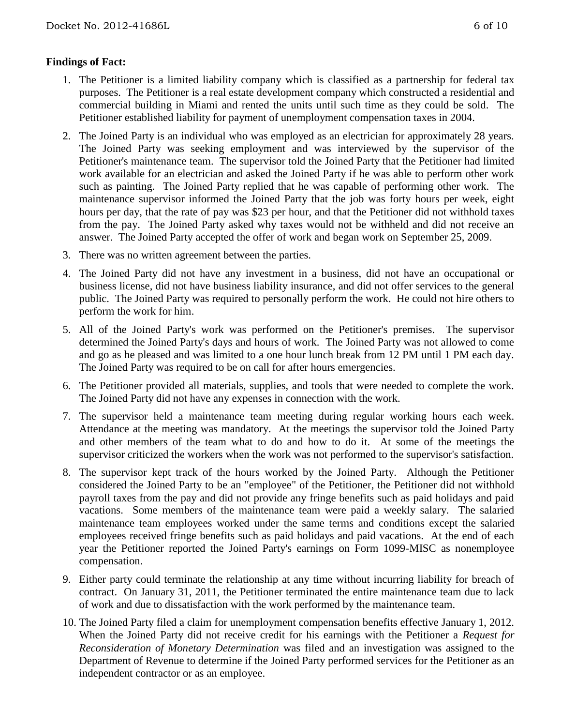## **Findings of Fact:**

- 1. The Petitioner is a limited liability company which is classified as a partnership for federal tax purposes. The Petitioner is a real estate development company which constructed a residential and commercial building in Miami and rented the units until such time as they could be sold. The Petitioner established liability for payment of unemployment compensation taxes in 2004.
- 2. The Joined Party is an individual who was employed as an electrician for approximately 28 years. The Joined Party was seeking employment and was interviewed by the supervisor of the Petitioner's maintenance team. The supervisor told the Joined Party that the Petitioner had limited work available for an electrician and asked the Joined Party if he was able to perform other work such as painting. The Joined Party replied that he was capable of performing other work. The maintenance supervisor informed the Joined Party that the job was forty hours per week, eight hours per day, that the rate of pay was \$23 per hour, and that the Petitioner did not withhold taxes from the pay. The Joined Party asked why taxes would not be withheld and did not receive an answer. The Joined Party accepted the offer of work and began work on September 25, 2009.
- 3. There was no written agreement between the parties.
- 4. The Joined Party did not have any investment in a business, did not have an occupational or business license, did not have business liability insurance, and did not offer services to the general public. The Joined Party was required to personally perform the work. He could not hire others to perform the work for him.
- 5. All of the Joined Party's work was performed on the Petitioner's premises. The supervisor determined the Joined Party's days and hours of work. The Joined Party was not allowed to come and go as he pleased and was limited to a one hour lunch break from 12 PM until 1 PM each day. The Joined Party was required to be on call for after hours emergencies.
- 6. The Petitioner provided all materials, supplies, and tools that were needed to complete the work. The Joined Party did not have any expenses in connection with the work.
- 7. The supervisor held a maintenance team meeting during regular working hours each week. Attendance at the meeting was mandatory. At the meetings the supervisor told the Joined Party and other members of the team what to do and how to do it. At some of the meetings the supervisor criticized the workers when the work was not performed to the supervisor's satisfaction.
- 8. The supervisor kept track of the hours worked by the Joined Party. Although the Petitioner considered the Joined Party to be an "employee" of the Petitioner, the Petitioner did not withhold payroll taxes from the pay and did not provide any fringe benefits such as paid holidays and paid vacations. Some members of the maintenance team were paid a weekly salary. The salaried maintenance team employees worked under the same terms and conditions except the salaried employees received fringe benefits such as paid holidays and paid vacations. At the end of each year the Petitioner reported the Joined Party's earnings on Form 1099-MISC as nonemployee compensation.
- 9. Either party could terminate the relationship at any time without incurring liability for breach of contract. On January 31, 2011, the Petitioner terminated the entire maintenance team due to lack of work and due to dissatisfaction with the work performed by the maintenance team.
- 10. The Joined Party filed a claim for unemployment compensation benefits effective January 1, 2012. When the Joined Party did not receive credit for his earnings with the Petitioner a *Request for Reconsideration of Monetary Determination* was filed and an investigation was assigned to the Department of Revenue to determine if the Joined Party performed services for the Petitioner as an independent contractor or as an employee.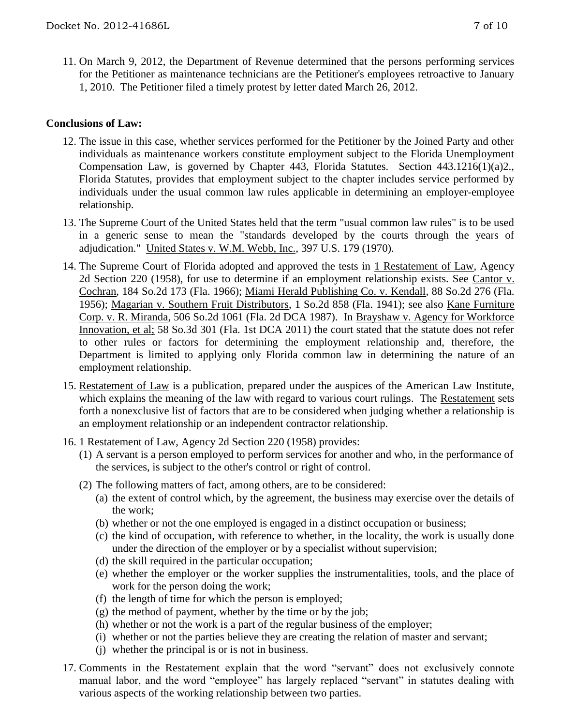11. On March 9, 2012, the Department of Revenue determined that the persons performing services for the Petitioner as maintenance technicians are the Petitioner's employees retroactive to January 1, 2010. The Petitioner filed a timely protest by letter dated March 26, 2012.

## **Conclusions of Law:**

- 12. The issue in this case, whether services performed for the Petitioner by the Joined Party and other individuals as maintenance workers constitute employment subject to the Florida Unemployment Compensation Law, is governed by Chapter 443, Florida Statutes. Section 443.1216(1)(a)2., Florida Statutes, provides that employment subject to the chapter includes service performed by individuals under the usual common law rules applicable in determining an employer-employee relationship.
- 13. The Supreme Court of the United States held that the term "usual common law rules" is to be used in a generic sense to mean the "standards developed by the courts through the years of adjudication." United States v. W.M. Webb, Inc., 397 U.S. 179 (1970).
- 14. The Supreme Court of Florida adopted and approved the tests in 1 Restatement of Law, Agency 2d Section 220 (1958), for use to determine if an employment relationship exists. See Cantor v. Cochran, 184 So.2d 173 (Fla. 1966); Miami Herald Publishing Co. v. Kendall, 88 So.2d 276 (Fla. 1956); Magarian v. Southern Fruit Distributors, 1 So.2d 858 (Fla. 1941); see also Kane Furniture Corp. v. R. Miranda, 506 So.2d 1061 (Fla. 2d DCA 1987). In Brayshaw v. Agency for Workforce Innovation, et al; 58 So.3d 301 (Fla. 1st DCA 2011) the court stated that the statute does not refer to other rules or factors for determining the employment relationship and, therefore, the Department is limited to applying only Florida common law in determining the nature of an employment relationship.
- 15. Restatement of Law is a publication, prepared under the auspices of the American Law Institute, which explains the meaning of the law with regard to various court rulings. The Restatement sets forth a nonexclusive list of factors that are to be considered when judging whether a relationship is an employment relationship or an independent contractor relationship.
- 16. 1 Restatement of Law, Agency 2d Section 220 (1958) provides:
	- (1) A servant is a person employed to perform services for another and who, in the performance of the services, is subject to the other's control or right of control.
	- (2) The following matters of fact, among others, are to be considered:
		- (a) the extent of control which, by the agreement, the business may exercise over the details of the work;
		- (b) whether or not the one employed is engaged in a distinct occupation or business;
		- (c) the kind of occupation, with reference to whether, in the locality, the work is usually done under the direction of the employer or by a specialist without supervision;
		- (d) the skill required in the particular occupation;
		- (e) whether the employer or the worker supplies the instrumentalities, tools, and the place of work for the person doing the work;
		- (f) the length of time for which the person is employed;
		- (g) the method of payment, whether by the time or by the job;
		- (h) whether or not the work is a part of the regular business of the employer;
		- (i) whether or not the parties believe they are creating the relation of master and servant;
		- (j) whether the principal is or is not in business.
- 17. Comments in the Restatement explain that the word "servant" does not exclusively connote manual labor, and the word "employee" has largely replaced "servant" in statutes dealing with various aspects of the working relationship between two parties.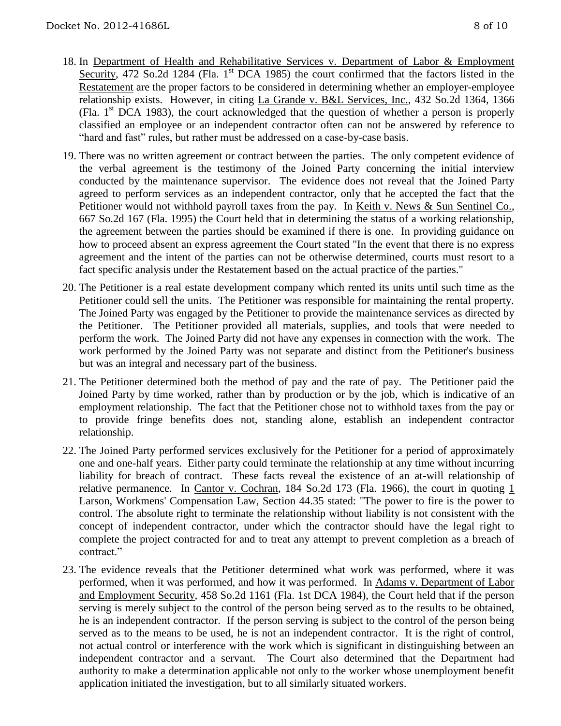- 18. In Department of Health and Rehabilitative Services v. Department of Labor & Employment Security, 472 So.2d 1284 (Fla.  $1<sup>st</sup>$  DCA 1985) the court confirmed that the factors listed in the Restatement are the proper factors to be considered in determining whether an employer-employee relationship exists. However, in citing La Grande v. B&L Services, Inc., 432 So.2d 1364, 1366 (Fla.  $1<sup>st</sup> DCA$  1983), the court acknowledged that the question of whether a person is properly classified an employee or an independent contractor often can not be answered by reference to "hard and fast" rules, but rather must be addressed on a case-by-case basis.
- 19. There was no written agreement or contract between the parties. The only competent evidence of the verbal agreement is the testimony of the Joined Party concerning the initial interview conducted by the maintenance supervisor. The evidence does not reveal that the Joined Party agreed to perform services as an independent contractor, only that he accepted the fact that the Petitioner would not withhold payroll taxes from the pay. In <u>Keith v. News & Sun Sentinel Co.</u>, 667 So.2d 167 (Fla. 1995) the Court held that in determining the status of a working relationship, the agreement between the parties should be examined if there is one. In providing guidance on how to proceed absent an express agreement the Court stated "In the event that there is no express agreement and the intent of the parties can not be otherwise determined, courts must resort to a fact specific analysis under the Restatement based on the actual practice of the parties."
- 20. The Petitioner is a real estate development company which rented its units until such time as the Petitioner could sell the units. The Petitioner was responsible for maintaining the rental property. The Joined Party was engaged by the Petitioner to provide the maintenance services as directed by the Petitioner. The Petitioner provided all materials, supplies, and tools that were needed to perform the work. The Joined Party did not have any expenses in connection with the work. The work performed by the Joined Party was not separate and distinct from the Petitioner's business but was an integral and necessary part of the business.
- 21. The Petitioner determined both the method of pay and the rate of pay. The Petitioner paid the Joined Party by time worked, rather than by production or by the job, which is indicative of an employment relationship. The fact that the Petitioner chose not to withhold taxes from the pay or to provide fringe benefits does not, standing alone, establish an independent contractor relationship.
- 22. The Joined Party performed services exclusively for the Petitioner for a period of approximately one and one-half years. Either party could terminate the relationship at any time without incurring liability for breach of contract. These facts reveal the existence of an at-will relationship of relative permanence. In Cantor v. Cochran, 184 So.2d 173 (Fla. 1966), the court in quoting  $1$ Larson, Workmens' Compensation Law, Section 44.35 stated: "The power to fire is the power to control. The absolute right to terminate the relationship without liability is not consistent with the concept of independent contractor, under which the contractor should have the legal right to complete the project contracted for and to treat any attempt to prevent completion as a breach of contract."
- 23. The evidence reveals that the Petitioner determined what work was performed, where it was performed, when it was performed, and how it was performed. In Adams v. Department of Labor and Employment Security, 458 So.2d 1161 (Fla. 1st DCA 1984), the Court held that if the person serving is merely subject to the control of the person being served as to the results to be obtained, he is an independent contractor. If the person serving is subject to the control of the person being served as to the means to be used, he is not an independent contractor. It is the right of control, not actual control or interference with the work which is significant in distinguishing between an independent contractor and a servant. The Court also determined that the Department had authority to make a determination applicable not only to the worker whose unemployment benefit application initiated the investigation, but to all similarly situated workers.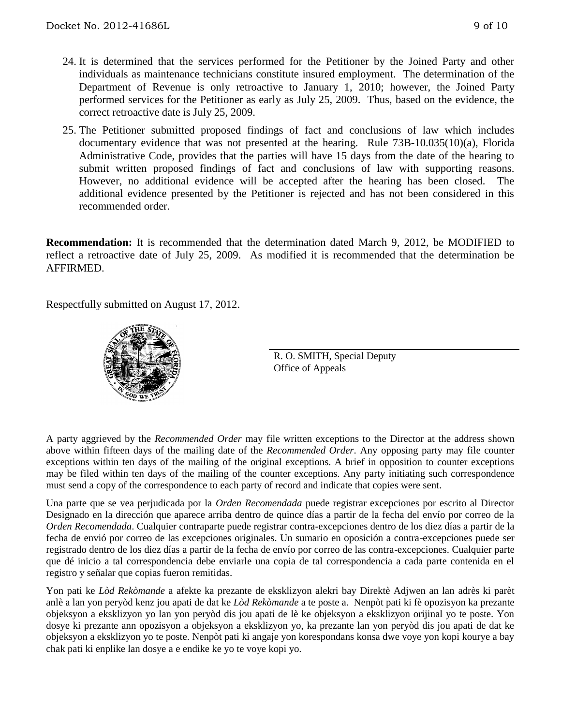- 24. It is determined that the services performed for the Petitioner by the Joined Party and other individuals as maintenance technicians constitute insured employment. The determination of the Department of Revenue is only retroactive to January 1, 2010; however, the Joined Party performed services for the Petitioner as early as July 25, 2009. Thus, based on the evidence, the correct retroactive date is July 25, 2009.
- 25. The Petitioner submitted proposed findings of fact and conclusions of law which includes documentary evidence that was not presented at the hearing. Rule 73B-10.035(10)(a), Florida Administrative Code, provides that the parties will have 15 days from the date of the hearing to submit written proposed findings of fact and conclusions of law with supporting reasons. However, no additional evidence will be accepted after the hearing has been closed. The additional evidence presented by the Petitioner is rejected and has not been considered in this recommended order.

**Recommendation:** It is recommended that the determination dated March 9, 2012, be MODIFIED to reflect a retroactive date of July 25, 2009. As modified it is recommended that the determination be AFFIRMED.

Respectfully submitted on August 17, 2012.



R. O. SMITH, Special Deputy Office of Appeals

A party aggrieved by the *Recommended Order* may file written exceptions to the Director at the address shown above within fifteen days of the mailing date of the *Recommended Order*. Any opposing party may file counter exceptions within ten days of the mailing of the original exceptions. A brief in opposition to counter exceptions may be filed within ten days of the mailing of the counter exceptions. Any party initiating such correspondence must send a copy of the correspondence to each party of record and indicate that copies were sent.

Una parte que se vea perjudicada por la *Orden Recomendada* puede registrar excepciones por escrito al Director Designado en la dirección que aparece arriba dentro de quince días a partir de la fecha del envío por correo de la *Orden Recomendada*. Cualquier contraparte puede registrar contra-excepciones dentro de los diez días a partir de la fecha de envió por correo de las excepciones originales. Un sumario en oposición a contra-excepciones puede ser registrado dentro de los diez días a partir de la fecha de envío por correo de las contra-excepciones. Cualquier parte que dé inicio a tal correspondencia debe enviarle una copia de tal correspondencia a cada parte contenida en el registro y señalar que copias fueron remitidas.

Yon pati ke *Lòd Rekòmande* a afekte ka prezante de eksklizyon alekri bay Direktè Adjwen an lan adrès ki parèt anlè a lan yon peryòd kenz jou apati de dat ke *Lòd Rekòmande* a te poste a. Nenpòt pati ki fè opozisyon ka prezante objeksyon a eksklizyon yo lan yon peryòd dis jou apati de lè ke objeksyon a eksklizyon orijinal yo te poste. Yon dosye ki prezante ann opozisyon a objeksyon a eksklizyon yo, ka prezante lan yon peryòd dis jou apati de dat ke objeksyon a eksklizyon yo te poste. Nenpòt pati ki angaje yon korespondans konsa dwe voye yon kopi kourye a bay chak pati ki enplike lan dosye a e endike ke yo te voye kopi yo.